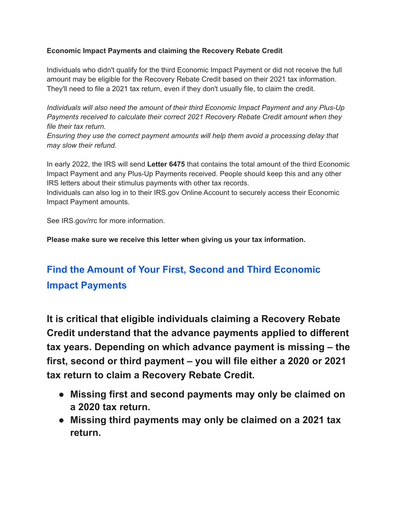## **Economic Impact Payments and claiming the Recovery Rebate Credit**

Individuals who didn't qualify for the third Economic Impact Payment or did not receive the full amount may be eligible for the Recovery Rebate Credit based on their 2021 tax information. They'll need to file a 2021 tax return, even if they don't usually file, to claim the credit.

*Individuals will also need the amount of their third Economic Impact Payment and any Plus-Up Payments received to calculate their correct 2021 Recovery Rebate Credit amount when they file their tax return.*

*Ensuring they use the correct payment amounts will help them avoid a processing delay that may slow their refund.*

In early 2022, the IRS will send **Letter 6475** that contains the total amount of the third Economic Impact Payment and any Plus-Up Payments received. People should keep this and any other IRS letters about their stimulus payments with other tax records.

Individuals can also log in to their IRS.gov Online Account to securely access their Economic Impact Payment amounts.

See IRS.gov/rrc for more information.

**Please make sure we receive this letter when giving us your tax information.**

## **[Find the Amount of Your First, Second and Third Economic](https://www.irs.gov/newsroom/recovery-rebate-credit#collapseCollapsible1643407469381) [Impact Payments](https://www.irs.gov/newsroom/recovery-rebate-credit#collapseCollapsible1643407469381)**

**It is critical that eligible individuals claiming a Recovery Rebate Credit understand that the advance payments applied to different tax years. Depending on which advance payment is missing – the first, second or third payment – you will file either a 2020 or 2021 tax return to claim a Recovery Rebate Credit.**

- **● Missing first and second payments may only be claimed on a 2020 tax return.**
- **● Missing third payments may only be claimed on a 2021 tax return.**